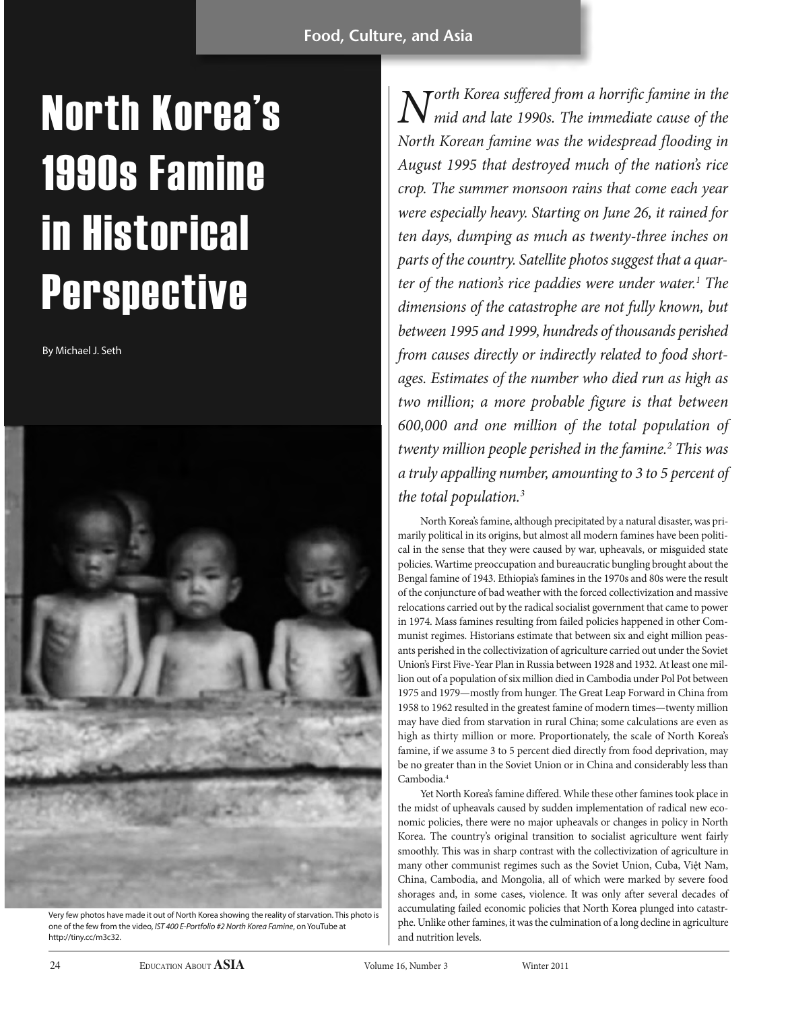# North Korea's 1990s Famine in Historical **Perspective**

By Michael J. Seth



Very few photos have made it out of North Korea showing the reality of starvation. This photo is one of the few from the video, IST 400 E-Portfolio #2 North Korea Famine, on YouTube at http://tiny.cc/m3c32.

 $N$ <sup>orth</sup> Korea suffered from a horrific famine in the mid and late 1990s. The immediate cause of the North Korean famine was the widespread flooding in August 1995 that destroyed much of the nation's rice crop. The summer monsoon rains that come each year were especially heavy. Starting on June 26, it rained for ten days, dumping as much as twenty-three inches on parts of the country. Satellite photos suggest that a quarter of the nation's rice paddies were under water.<sup>1</sup> The dimensions of the catastrophe are not fully known, but between 1995 and 1999, hundreds of thousands perished from causes directly or indirectly related to food shortages. Estimates of the number who died run as high as two million; a more probable figure is that between 600,000 and one million of the total population of twenty million people perished in the famine.<sup>2</sup> This was a truly appalling number, amounting to 3 to 5 percent of the total population.<sup>3</sup>

North Korea's famine, although precipitated by a natural disaster, was primarily political in its origins, but almost all modern famines have been political in the sense that they were caused by war, upheavals, or misguided state policies. Wartime preoccupation and bureaucratic bungling brought about the Bengal famine of 1943. Ethiopia's famines in the 1970s and 80s were the result of the conjuncture of bad weather with the forced collectivization and massive relocations carried out by the radical socialist government that came to power in 1974. Mass famines resulting from failed policies happened in other Communist regimes. Historians estimate that between six and eight million peasants perished in the collectivization of agriculture carried out under the Soviet Union's First Five-Year Plan in Russia between 1928 and 1932. At least one million out of a population of six million died in Cambodia under Pol Pot between 1975 and 1979—mostly from hunger. The Great Leap Forward in China from 1958 to 1962 resulted in the greatest famine of modern times—twenty million may have died from starvation in rural China; some calculations are even as high as thirty million or more. Proportionately, the scale of North Korea's famine, if we assume 3 to 5 percent died directly from food deprivation, may be no greater than in the Soviet Union or in China and considerably less than Cambodia.4

Yet North Korea's famine differed. While these other famines took place in the midst of upheavals caused by sudden implementation of radical new economic policies, there were no major upheavals or changes in policy in North Korea. The country's original transition to socialist agriculture went fairly smoothly. This was in sharp contrast with the collectivization of agriculture in many other communist regimes such as the Soviet Union, Cuba, Việt Nam, China, Cambodia, and Mongolia, all of which were marked by severe food shorages and, in some cases, violence. It was only after several decades of accumulating failed economic policies that North Korea plunged into catastrphe. Unlike other famines, it was the culmination of a long decline in agriculture and nutrition levels.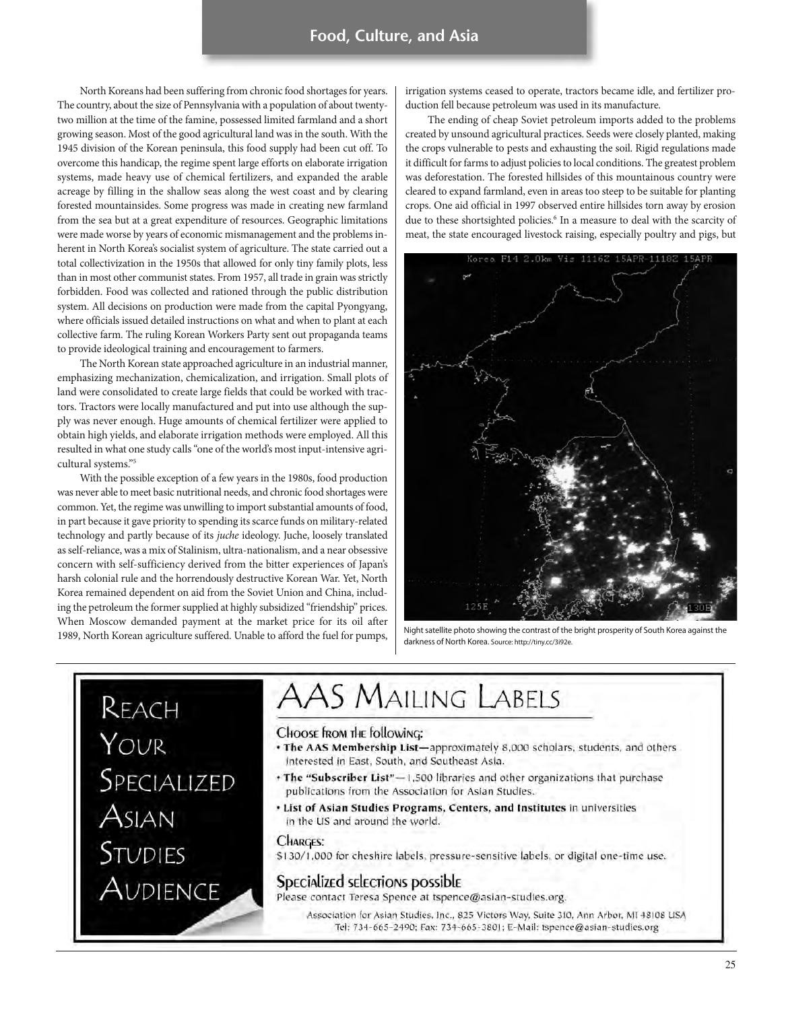North Koreans had been suffering from chronic food shortages for years. The country, about the size of Pennsylvania with a population of about twentytwo million at the time of the famine, possessed limited farmland and a short growing season. Most of the good agricultural land was in the south. With the 1945 division of the Korean peninsula, this food supply had been cut off. To overcome this handicap, the regime spent large efforts on elaborate irrigation systems, made heavy use of chemical fertilizers, and expanded the arable acreage by filling in the shallow seas along the west coast and by clearing forested mountainsides. Some progress was made in creating new farmland from the sea but at a great expenditure of resources. Geographic limitations were made worse by years of economic mismanagement and the problems inherent in North Korea's socialist system of agriculture. The state carried out a total collectivization in the 1950s that allowed for only tiny family plots, less than in most other communist states. From 1957, all trade in grain was strictly forbidden. Food was collected and rationed through the public distribution system. All decisions on production were made from the capital Pyongyang, where officials issued detailed instructions on what and when to plant at each collective farm. The ruling Korean Workers Party sent out propaganda teams to provide ideological training and encouragement to farmers.

The North Korean state approached agriculture in an industrial manner, emphasizing mechanization, chemicalization, and irrigation. Small plots of land were consolidated to create large fields that could be worked with tractors. Tractors were locally manufactured and put into use although the supply was never enough. Huge amounts of chemical fertilizer were applied to obtain high yields, and elaborate irrigation methods were employed. All this resulted in what one study calls "one of the world's most input-intensive agricultural systems."5

With the possible exception of a few years in the 1980s, food production was never able to meet basic nutritional needs, and chronic food shortages were common. Yet, the regime was unwilling to import substantial amounts of food, in part because it gave priority to spending its scarce funds on military-related technology and partly because of its juche ideology. Juche, loosely translated as self-reliance, was a mix of Stalinism, ultra-nationalism, and a near obsessive concern with self-sufficiency derived from the bitter experiences of Japan's harsh colonial rule and the horrendously destructive Korean War. Yet, North Korea remained dependent on aid from the Soviet Union and China, including the petroleum the former supplied at highly subsidized "friendship" prices. When Moscow demanded payment at the market price for its oil after 1989, North Korean agriculture suffered. Unable to afford the fuel for pumps,

irrigation systems ceased to operate, tractors became idle, and fertilizer production fell because petroleum was used in its manufacture.

The ending of cheap Soviet petroleum imports added to the problems created by unsound agricultural practices. Seeds were closely planted, making the crops vulnerable to pests and exhausting the soil. Rigid regulations made it difficult for farms to adjust policies to local conditions. The greatest problem was deforestation. The forested hillsides of this mountainous country were cleared to expand farmland, even in areas too steep to be suitable for planting crops. One aid official in 1997 observed entire hillsides torn away by erosion due to these shortsighted policies.<sup>6</sup> In a measure to deal with the scarcity of meat, the state encouraged livestock raising, especially poultry and pigs, but



Night satellite photo showing the contrast of the bright prosperity of South Korea against the darkness of North Korea. Source: http://tiny.cc/3i92e.

REACH YOUR Specialized<br>Asian **STUDIES** AUDIENCE

# **AAS MAILING LABELS**

Choose from the following:

- The AAS Membership List-approximately 8,000 scholars, students, and others Interested in East, South, and Southeast Asia.
- + The "Subscriber List"-1,500 libraries and other organizations that purchase publications from the Association for Asian Studies.
- . List of Asian Studies Programs, Centers, and Institutes in universities in the US and around the world.

#### **CHARGES:**

\$130/1,000 for cheshire labels, pressure-sensitive labels, or digital one-time use.

#### Specialized selections possible

Please contact Teresa Spence at tspence@asian-studies.org.

Association for Asian Studies, Inc., 825 Victors Way, Suite 310, Ann Arbor, MI 48108 USA Tel: 734-665-2490; Fax: 734-665-3801; E-Mail: tspence@asian-studies.org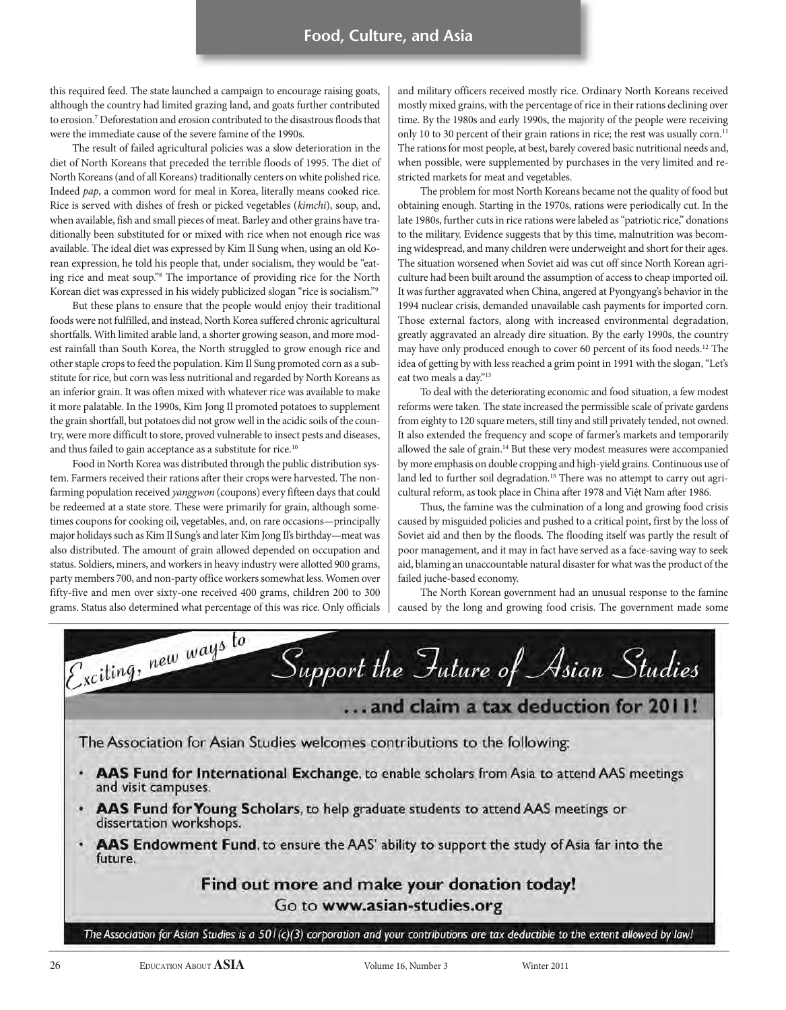this required feed. The state launched a campaign to encourage raising goats, although the country had limited grazing land, and goats further contributed to erosion.7 Deforestation and erosion contributed to the disastrous floods that were the immediate cause of the severe famine of the 1990s.

The result of failed agricultural policies was a slow deterioration in the diet of North Koreans that preceded the terrible floods of 1995. The diet of North Koreans (and of all Koreans) traditionally centers on white polished rice. Indeed pap, a common word for meal in Korea, literally means cooked rice. Rice is served with dishes of fresh or picked vegetables (kimchi), soup, and, when available, fish and small pieces of meat. Barley and other grains have traditionally been substituted for or mixed with rice when not enough rice was available. The ideal diet was expressed by Kim Il Sung when, using an old Korean expression, he told his people that, under socialism, they would be "eating rice and meat soup."8 The importance of providing rice for the North Korean diet was expressed in his widely publicized slogan "rice is socialism."9

But these plans to ensure that the people would enjoy their traditional foods were not fulfilled, and instead, North Korea suffered chronic agricultural shortfalls. With limited arable land, a shorter growing season, and more modest rainfall than South Korea, the North struggled to grow enough rice and other staple crops to feed the population. Kim Il Sung promoted corn as a substitute for rice, but corn was less nutritional and regarded by North Koreans as an inferior grain. It was often mixed with whatever rice was available to make it more palatable. In the 1990s, Kim Jong Il promoted potatoes to supplement the grain shortfall, but potatoes did not grow well in the acidic soils of the country, were more difficult to store, proved vulnerable to insect pests and diseases, and thus failed to gain acceptance as a substitute for rice.<sup>10</sup>

Food in North Korea was distributed through the public distribution system. Farmers received their rations after their crops were harvested. The nonfarming population received yanggwon (coupons) every fifteen days that could be redeemed at a state store. These were primarily for grain, although sometimes coupons for cooking oil, vegetables, and, on rare occasions—principally major holidays such as Kim Il Sung's and later Kim Jong Il's birthday—meat was also distributed. The amount of grain allowed depended on occupation and status. Soldiers, miners, and workers in heavy industry were allotted 900 grams, party members 700, and non-party office workers somewhat less. Women over fifty-five and men over sixty-one received 400 grams, children 200 to 300 grams. Status also determined what percentage of this was rice. Only officials and military officers received mostly rice. Ordinary North Koreans received mostly mixed grains, with the percentage of rice in their rations declining over time. By the 1980s and early 1990s, the majority of the people were receiving only 10 to 30 percent of their grain rations in rice; the rest was usually corn.<sup>11</sup> The rations for most people, at best, barely covered basic nutritional needs and, when possible, were supplemented by purchases in the very limited and restricted markets for meat and vegetables.

The problem for most North Koreans became not the quality of food but obtaining enough. Starting in the 1970s, rations were periodically cut. In the late 1980s, further cuts in rice rations were labeled as "patriotic rice," donations to the military. Evidence suggests that by this time, malnutrition was becoming widespread, and many children were underweight and short for their ages. The situation worsened when Soviet aid was cut off since North Korean agriculture had been built around the assumption of access to cheap imported oil. It was further aggravated when China, angered at Pyongyang's behavior in the 1994 nuclear crisis, demanded unavailable cash payments for imported corn. Those external factors, along with increased environmental degradation, greatly aggravated an already dire situation. By the early 1990s, the country may have only produced enough to cover 60 percent of its food needs.<sup>12</sup> The idea of getting by with less reached a grim point in 1991 with the slogan, "Let's eat two meals a day."13

To deal with the deteriorating economic and food situation, a few modest reforms were taken. The state increased the permissible scale of private gardens from eighty to 120 square meters, still tiny and still privately tended, not owned. It also extended the frequency and scope of farmer's markets and temporarily allowed the sale of grain.14 But these very modest measures were accompanied by more emphasis on double cropping and high-yield grains. Continuous use of land led to further soil degradation.<sup>15</sup> There was no attempt to carry out agricultural reform, as took place in China after 1978 and Việt Nam after 1986.

Thus, the famine was the culmination of a long and growing food crisis caused by misguided policies and pushed to a critical point, first by the loss of Soviet aid and then by the floods. The flooding itself was partly the result of poor management, and it may in fact have served as a face-saving way to seek aid, blaming an unaccountable natural disaster for what was the product of the failed juche-based economy.

The North Korean government had an unusual response to the famine caused by the long and growing food crisis. The government made some

Exciting, new ways to Support the Inture of Asian Studies ... and claim a tax deduction for 2011! The Association for Asian Studies welcomes contributions to the following: AAS Fund for International Exchange, to enable scholars from Asia to attend AAS meetings and visit campuses. AAS Fund for Young Scholars, to help graduate students to attend AAS meetings or dissertation workshops. ¢ AAS Endowment Fund, to ensure the AAS' ability to support the study of Asia far into the future. Find out more and make your donation today! Go to www.asian-studies.org The Association for Asian Studies is a  $501(c)(3)$  corporation and your contributions are tax deductible to the extent allowed by law!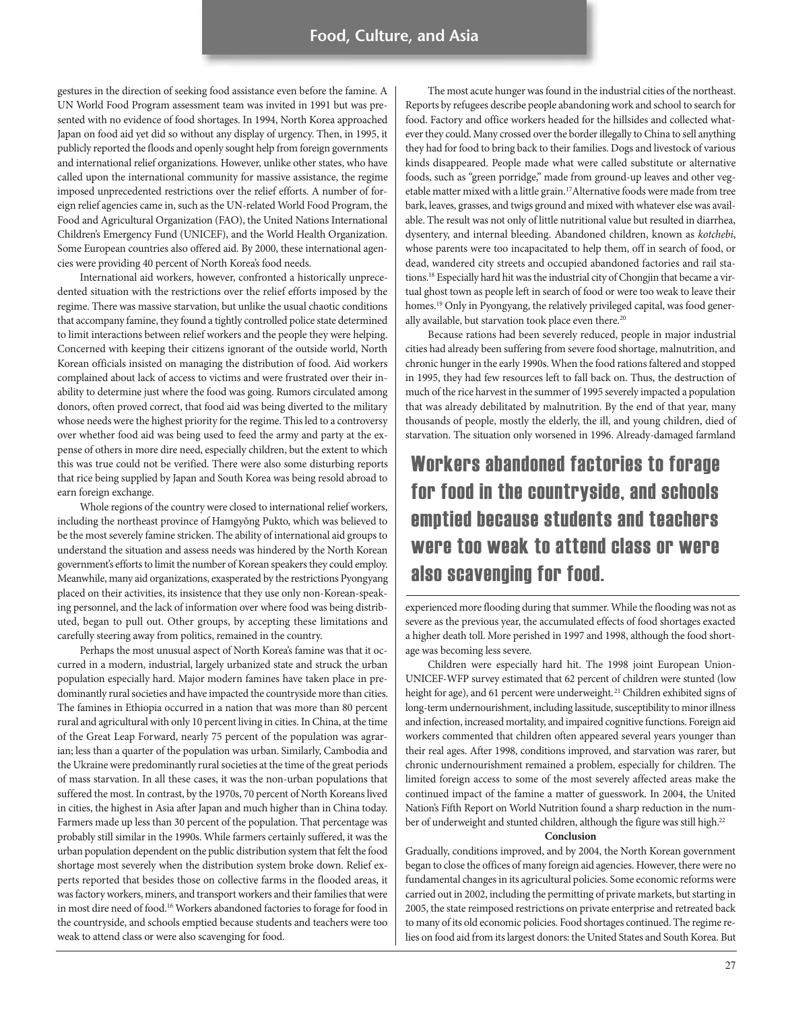gestures in the direction of seeking food assistance even before the famine. A UN World Food Program assessment team was invited in 1991 but was presented with no evidence of food shortages. In 1994, North Korea approached Japan on food aid yet did so without any display of urgency. Then, in 1995, it publicly reported the floods and openly sought help from foreign governments and international relief organizations. However, unlike other states, who have called upon the international community for massive assistance, the regime imposed unprecedented restrictions over the relief efforts. A number of foreign relief agencies came in, such as the UN-related World Food Program, the Food and Agricultural Organization (FAO), the United Nations International Children's Emergency Fund (UNICEF), and the World Health Organization. Some European countries also offered aid. By 2000, these international agencies were providing 40 percent of North Korea's food needs.

International aid workers, however, confronted a historically unprecedented situation with the restrictions over the relief efforts imposed by the regime. There was massive starvation, but unlike the usual chaotic conditions that accompany famine, they found a tightly controlled police state determined to limit interactions between relief workers and the people they were helping. Concerned with keeping their citizens ignorant of the outside world, North Korean officials insisted on managing the distribution of food. Aid workers complained about lack of access to victims and were frustrated over their inability to determine just where the food was going. Rumors circulated among donors, often proved correct, that food aid was being diverted to the military whose needs were the highest priority for the regime. This led to a controversy over whether food aid was being used to feed the army and party at the expense of others in more dire need, especially children, but the extent to which this was true could not be verified. There were also some disturbing reports that rice being supplied by Japan and South Korea was being resold abroad to earn foreign exchange.

Whole regions of the country were closed to international relief workers, including the northeast province of Hamgyŏng Pukto, which was believed to be the most severely famine stricken. The ability of international aid groups to understand the situation and assess needs was hindered by the North Korean government's efforts to limit the number of Korean speakers they could employ. Meanwhile, many aid organizations, exasperated by the restrictions Pyongyang placed on their activities, its insistence that they use only non-Korean-speaking personnel, and the lack of information over where food was being distributed, began to pull out. Other groups, by accepting these limitations and carefully steering away from politics, remained in the country.

Perhaps the most unusual aspect of North Korea's famine was that it occurred in a modern, industrial, largely urbanized state and struck the urban population especially hard. Major modern famines have taken place in predominantly rural societies and have impacted the countryside more than cities. The famines in Ethiopia occurred in a nation that was more than 80 percent rural and agricultural with only 10 percent living in cities. In China, at the time of the Great Leap Forward, nearly 75 percent of the population was agrarian; less than a quarter of the population was urban. Similarly, Cambodia and the Ukraine were predominantly rural societies at the time of the great periods of mass starvation. In all these cases, it was the non-urban populations that suffered the most. In contrast, by the 1970s, 70 percent of North Koreans lived in cities, the highest in Asia after Japan and much higher than in China today. Farmers made up less than 30 percent of the population. That percentage was probably still similar in the 1990s. While farmers certainly suffered, it was the urban population dependent on the public distribution system that felt the food shortage most severely when the distribution system broke down. Relief experts reported that besides those on collective farms in the flooded areas, it was factory workers, miners, and transport workers and their families that were in most dire need of food.<sup>16</sup> Workers abandoned factories to forage for food in the countryside, and schools emptied because students and teachers were too weak to attend class or were also scavenging for food.

The most acute hunger was found in the industrial cities of the northeast. Reports by refugees describe people abandoning work and school to search for food. Factory and office workers headed for the hillsides and collected whatever they could. Many crossed over the border illegally to China to sell anything they had for food to bring back to their families. Dogs and livestock of various kinds disappeared. People made what were called substitute or alternative foods, such as "green porridge," made from ground-up leaves and other vegetable matter mixed with a little grain.17Alternative foods were made from tree bark, leaves, grasses, and twigs ground and mixed with whatever else was available. The result was not only of little nutritional value but resulted in diarrhea, dysentery, and internal bleeding. Abandoned children, known as kotchebi, whose parents were too incapacitated to help them, off in search of food, or dead, wandered city streets and occupied abandoned factories and rail stations.18 Especially hard hit was the industrial city of Chongjin that became a virtual ghost town as people left in search of food or were too weak to leave their homes.<sup>19</sup> Only in Pyongyang, the relatively privileged capital, was food generally available, but starvation took place even there.<sup>20</sup>

Because rations had been severely reduced, people in major industrial cities had already been suffering from severe food shortage, malnutrition, and chronic hunger in the early 1990s. When the food rations faltered and stopped in 1995, they had few resources left to fall back on. Thus, the destruction of much of the rice harvest in the summer of 1995 severely impacted a population that was already debilitated by malnutrition. By the end of that year, many thousands of people, mostly the elderly, the ill, and young children, died of starvation. The situation only worsened in 1996. Already-damaged farmland

# Workers abandoned factories to forage for food in the countryside, and schools emptied because students and teachers were too weak to attend class or were also scavenging for food.

experienced more flooding during that summer. While the flooding was not as severe as the previous year, the accumulated effects of food shortages exacted a higher death toll. More perished in 1997 and 1998, although the food shortage was becoming less severe.

Children were especially hard hit. The 1998 joint European Union-UNICEF-WFP survey estimated that 62 percent of children were stunted (low height for age), and 61 percent were underweight.<sup>21</sup> Children exhibited signs of long-term undernourishment, including lassitude, susceptibility to minor illness and infection, increased mortality, and impaired cognitive functions. Foreign aid workers commented that children often appeared several years younger than their real ages. After 1998, conditions improved, and starvation was rarer, but chronic undernourishment remained a problem, especially for children. The limited foreign access to some of the most severely affected areas make the continued impact of the famine a matter of guesswork. In 2004, the United Nation's Fifth Report on World Nutrition found a sharp reduction in the number of underweight and stunted children, although the figure was still high.<sup>22</sup>

#### **Conclusion**

Gradually, conditions improved, and by 2004, the North Korean government began to close the offices of many foreign aid agencies. However, there were no fundamental changes in its agricultural policies. Some economic reforms were carried out in 2002, including the permitting of private markets, but starting in 2005, the state reimposed restrictions on private enterprise and retreated back to many of its old economic policies. Food shortages continued. The regime relies on food aid from its largest donors: the United States and South Korea. But